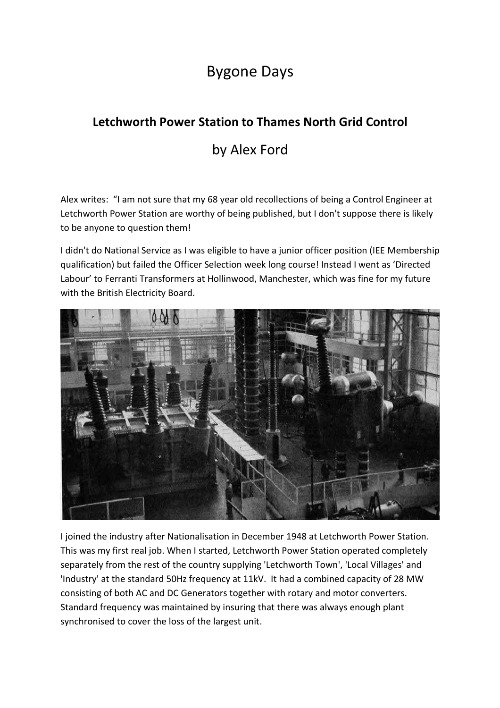## Bygone Days

## **Letchworth Power Station to Thames North Grid Control**

## by Alex Ford

Alex writes: "I am not sure that my 68 year old recollections of being a Control Engineer at Letchworth Power Station are worthy of being published, but I don't suppose there is likely to be anyone to question them!

I didn't do National Service as I was eligible to have a junior officer position (IEE Membership qualification) but failed the Officer Selection week long course! Instead I went as 'Directed Labour' to Ferranti Transformers at Hollinwood, Manchester, which was fine for my future with the British Electricity Board.



I joined the industry after Nationalisation in December 1948 at Letchworth Power Station. This was my first real job. When I started, Letchworth Power Station operated completely separately from the rest of the country supplying 'Letchworth Town', 'Local Villages' and 'Industry' at the standard 50Hz frequency at 11kV. It had a combined capacity of 28 MW consisting of both AC and DC Generators together with rotary and motor converters. Standard frequency was maintained by insuring that there was always enough plant synchronised to cover the loss of the largest unit.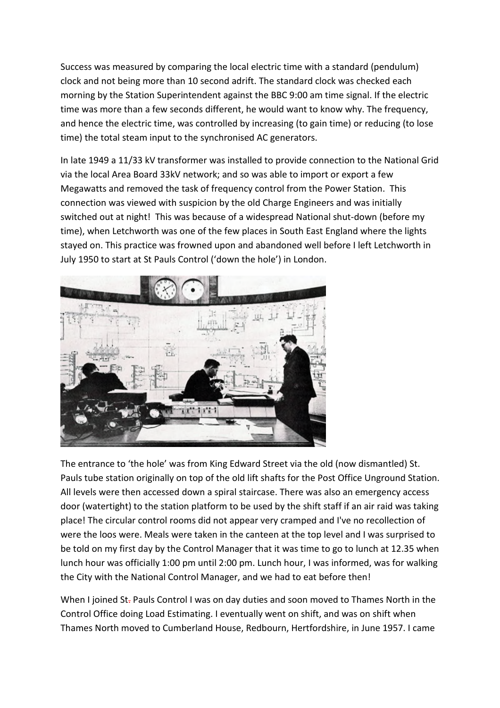Success was measured by comparing the local electric time with a standard (pendulum) clock and not being more than 10 second adrift. The standard clock was checked each morning by the Station Superintendent against the BBC 9:00 am time signal. If the electric time was more than a few seconds different, he would want to know why. The frequency, and hence the electric time, was controlled by increasing (to gain time) or reducing (to lose time) the total steam input to the synchronised AC generators.

In late 1949 a 11/33 kV transformer was installed to provide connection to the National Grid via the local Area Board 33kV network; and so was able to import or export a few Megawatts and removed the task of frequency control from the Power Station. This connection was viewed with suspicion by the old Charge Engineers and was initially switched out at night! This was because of a widespread National shut-down (before my time), when Letchworth was one of the few places in South East England where the lights stayed on. This practice was frowned upon and abandoned well before I left Letchworth in July 1950 to start at St Pauls Control ('down the hole') in London.



The entrance to 'the hole' was from King Edward Street via the old (now dismantled) St. Pauls tube station originally on top of the old lift shafts for the Post Office Unground Station. All levels were then accessed down a spiral staircase. There was also an emergency access door (watertight) to the station platform to be used by the shift staff if an air raid was taking place! The circular control rooms did not appear very cramped and I've no recollection of were the loos were. Meals were taken in the canteen at the top level and I was surprised to be told on my first day by the Control Manager that it was time to go to lunch at 12.35 when lunch hour was officially 1:00 pm until 2:00 pm. Lunch hour, I was informed, was for walking the City with the National Control Manager, and we had to eat before then!

When I joined St-Pauls Control I was on day duties and soon moved to Thames North in the Control Office doing Load Estimating. I eventually went on shift, and was on shift when Thames North moved to Cumberland House, Redbourn, Hertfordshire, in June 1957. I came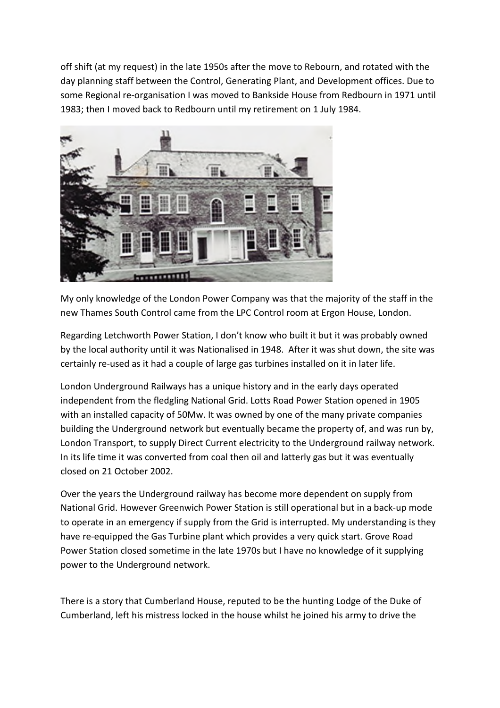off shift (at my request) in the late 1950s after the move to Rebourn, and rotated with the day planning staff between the Control, Generating Plant, and Development offices. Due to some Regional re-organisation I was moved to Bankside House from Redbourn in 1971 until 1983; then I moved back to Redbourn until my retirement on 1 July 1984.



My only knowledge of the London Power Company was that the majority of the staff in the new Thames South Control came from the LPC Control room at Ergon House, London.

Regarding Letchworth Power Station, I don't know who built it but it was probably owned by the local authority until it was Nationalised in 1948. After it was shut down, the site was certainly re-used as it had a couple of large gas turbines installed on it in later life.

London Underground Railways has a unique history and in the early days operated independent from the fledgling National Grid. Lotts Road Power Station opened in 1905 with an installed capacity of 50Mw. It was owned by one of the many private companies building the Underground network but eventually became the property of, and was run by, London Transport, to supply Direct Current electricity to the Underground railway network. In its life time it was converted from coal then oil and latterly gas but it was eventually closed on 21 October 2002.

Over the years the Underground railway has become more dependent on supply from National Grid. However Greenwich Power Station is still operational but in a back-up mode to operate in an emergency if supply from the Grid is interrupted. My understanding is they have re-equipped the Gas Turbine plant which provides a very quick start. Grove Road Power Station closed sometime in the late 1970s but I have no knowledge of it supplying power to the Underground network.

There is a story that Cumberland House, reputed to be the hunting Lodge of the Duke of Cumberland, left his mistress locked in the house whilst he joined his army to drive the